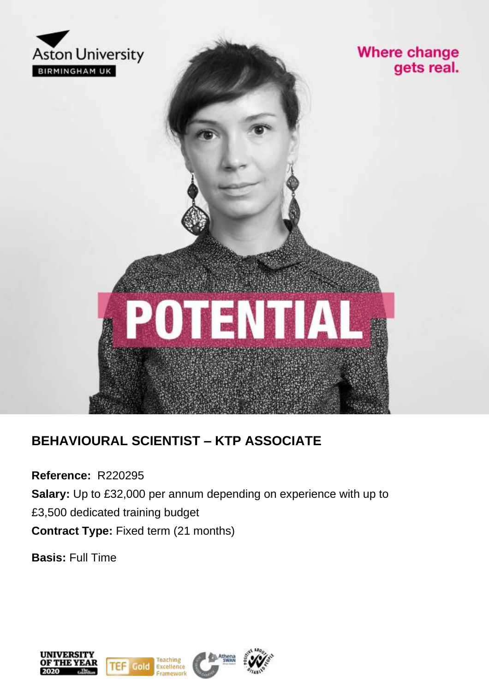

### **Where change** gets real.



### **BEHAVIOURAL SCIENTIST – KTP ASSOCIATE**

**Reference:** R220295

**Salary:** Up to £32,000 per annum depending on experience with up to £3,500 dedicated training budget **Contract Type:** Fixed term (21 months)

**Basis:** Full Time

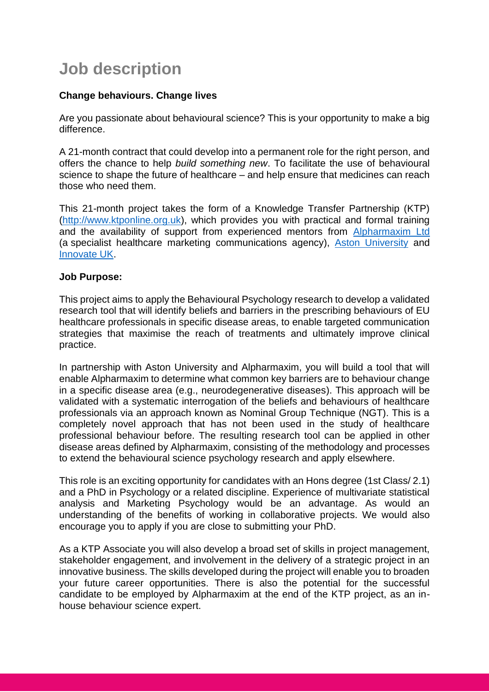## **Job description**

### **Change behaviours. Change lives**

Are you passionate about behavioural science? This is your opportunity to make a big difference.

A 21-month contract that could develop into a permanent role for the right person, and offers the chance to help *build something new*. To facilitate the use of behavioural science to shape the future of healthcare – and help ensure that medicines can reach those who need them.

This 21-month project takes the form of a Knowledge Transfer Partnership (KTP) [\(http://www.ktponline.org.uk\)](http://www.ktponline.org.uk/), which provides you with practical and formal training and the availability of support from experienced mentors from [Alpharmaxim Ltd](https://alpharmaxim.com/) (a specialist healthcare marketing communications agency), [Aston University](https://www.aston.ac.uk/) and [Innovate UK.](https://www.ukri.org/councils/innovate-uk/)

### **Job Purpose:**

This project aims to apply the Behavioural Psychology research to develop a validated research tool that will identify beliefs and barriers in the prescribing behaviours of EU healthcare professionals in specific disease areas, to enable targeted communication strategies that maximise the reach of treatments and ultimately improve clinical practice.

In partnership with Aston University and Alpharmaxim, you will build a tool that will enable Alpharmaxim to determine what common key barriers are to behaviour change in a specific disease area (e.g., neurodegenerative diseases). This approach will be validated with a systematic interrogation of the beliefs and behaviours of healthcare professionals via an approach known as Nominal Group Technique (NGT). This is a completely novel approach that has not been used in the study of healthcare professional behaviour before. The resulting research tool can be applied in other disease areas defined by Alpharmaxim, consisting of the methodology and processes to extend the behavioural science psychology research and apply elsewhere.

This role is an exciting opportunity for candidates with an Hons degree (1st Class/ 2.1) and a PhD in Psychology or a related discipline. Experience of multivariate statistical analysis and Marketing Psychology would be an advantage. As would an understanding of the benefits of working in collaborative projects. We would also encourage you to apply if you are close to submitting your PhD.

As a KTP Associate you will also develop a broad set of skills in project management, stakeholder engagement, and involvement in the delivery of a strategic project in an innovative business. The skills developed during the project will enable you to broaden your future career opportunities. There is also the potential for the successful candidate to be employed by Alpharmaxim at the end of the KTP project, as an inhouse behaviour science expert.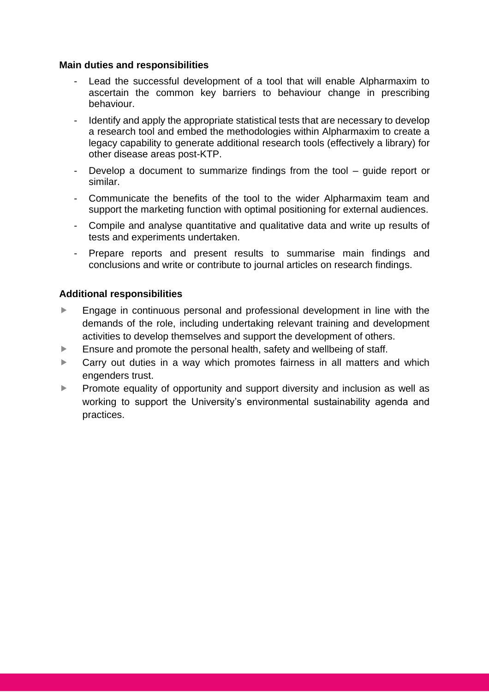### **Main duties and responsibilities**

- Lead the successful development of a tool that will enable Alpharmaxim to ascertain the common key barriers to behaviour change in prescribing behaviour.
- Identify and apply the appropriate statistical tests that are necessary to develop a research tool and embed the methodologies within Alpharmaxim to create a legacy capability to generate additional research tools (effectively a library) for other disease areas post-KTP.
- Develop a document to summarize findings from the tool guide report or similar.
- Communicate the benefits of the tool to the wider Alpharmaxim team and support the marketing function with optimal positioning for external audiences.
- Compile and analyse quantitative and qualitative data and write up results of tests and experiments undertaken.
- Prepare reports and present results to summarise main findings and conclusions and write or contribute to journal articles on research findings.

### **Additional responsibilities**

- **Engage in continuous personal and professional development in line with the** demands of the role, including undertaking relevant training and development activities to develop themselves and support the development of others.
- Ensure and promote the personal health, safety and wellbeing of staff.
- ▶ Carry out duties in a way which promotes fairness in all matters and which engenders trust.
- **Promote equality of opportunity and support diversity and inclusion as well as** working to support the University's environmental sustainability agenda and practices.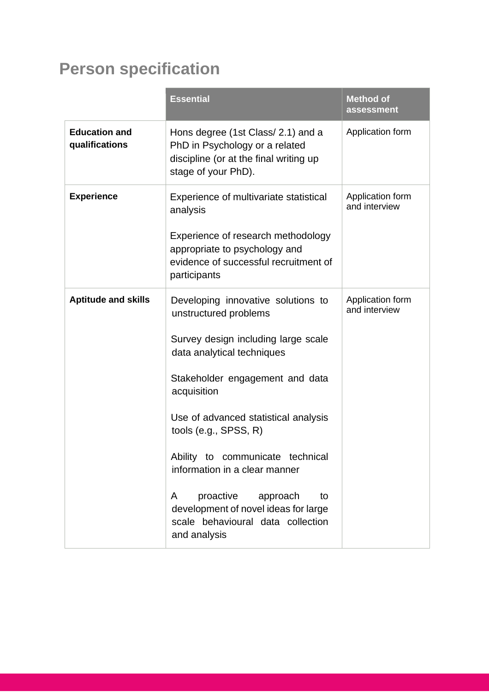# **Person specification**

|                                        | <b>Essential</b>                                                                                                                                                                                                                                                                                                                                                                                                                                             | <b>Method of</b><br>assessment    |
|----------------------------------------|--------------------------------------------------------------------------------------------------------------------------------------------------------------------------------------------------------------------------------------------------------------------------------------------------------------------------------------------------------------------------------------------------------------------------------------------------------------|-----------------------------------|
| <b>Education and</b><br>qualifications | Hons degree (1st Class/ 2.1) and a<br>PhD in Psychology or a related<br>discipline (or at the final writing up<br>stage of your PhD).                                                                                                                                                                                                                                                                                                                        | Application form                  |
| <b>Experience</b>                      | Experience of multivariate statistical<br>analysis<br>Experience of research methodology<br>appropriate to psychology and<br>evidence of successful recruitment of<br>participants                                                                                                                                                                                                                                                                           | Application form<br>and interview |
| <b>Aptitude and skills</b>             | Developing innovative solutions to<br>unstructured problems<br>Survey design including large scale<br>data analytical techniques<br>Stakeholder engagement and data<br>acquisition<br>Use of advanced statistical analysis<br>tools (e.g., $SPSS, R$ )<br>Ability to communicate technical<br>information in a clear manner<br>proactive<br>approach<br>A<br>to<br>development of novel ideas for large<br>scale behavioural data collection<br>and analysis | Application form<br>and interview |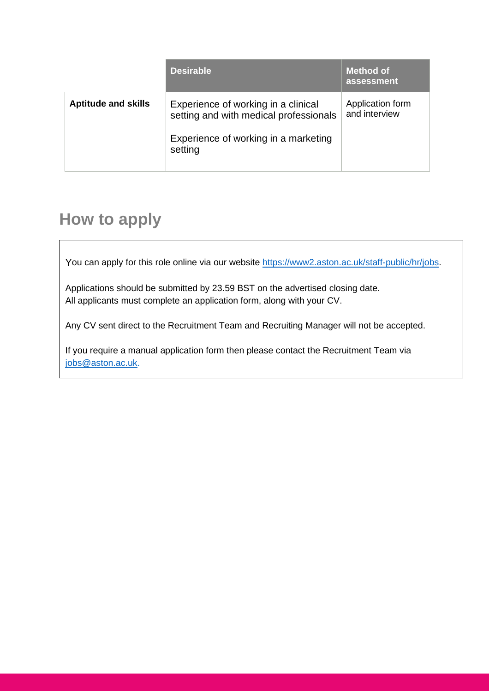|                            | <b>Desirable</b>                                                                                                                 | <b>Method of</b><br>assessment    |
|----------------------------|----------------------------------------------------------------------------------------------------------------------------------|-----------------------------------|
| <b>Aptitude and skills</b> | Experience of working in a clinical<br>setting and with medical professionals<br>Experience of working in a marketing<br>setting | Application form<br>and interview |

### **How to apply**

You can apply for this role online via our website [https://www2.aston.ac.uk/staff-public/hr/jobs.](https://www2.aston.ac.uk/staff-public/hr/jobs)

Applications should be submitted by 23.59 BST on the advertised closing date. All applicants must complete an application form, along with your CV.

Any CV sent direct to the Recruitment Team and Recruiting Manager will not be accepted.

If you require a manual application form then please contact the Recruitment Team via [jobs@aston.ac.uk.](mailto:jobs@aston.ac.uk)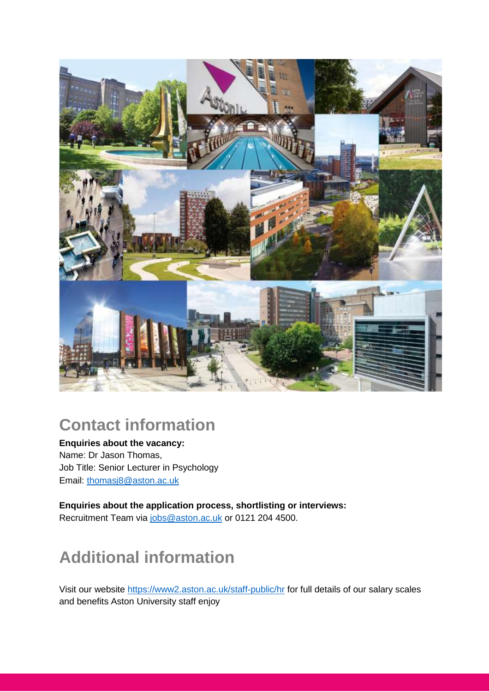

### **Contact information**

**Enquiries about the vacancy:** Name: Dr Jason Thomas, Job Title: Senior Lecturer in Psychology Email: [thomasj8@aston.ac.uk](mailto:thomasj8@aston.ac.uk)

**Enquiries about the application process, shortlisting or interviews:** Recruitment Team via [jobs@aston.ac.uk](mailto:jobs@aston.ac.uk) or 0121 204 4500.

# **Additional information**

Visit our website<https://www2.aston.ac.uk/staff-public/hr> for full details of our salary scales and benefits Aston University staff enjoy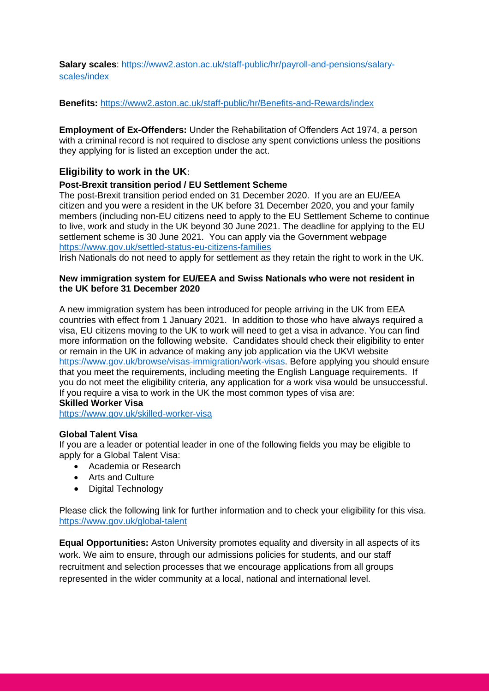**Salary scales**: [https://www2.aston.ac.uk/staff-public/hr/payroll-and-pensions/salary](https://www2.aston.ac.uk/staff-public/hr/payroll-and-pensions/salary-scales/index)[scales/index](https://www2.aston.ac.uk/staff-public/hr/payroll-and-pensions/salary-scales/index)

**Benefits:** <https://www2.aston.ac.uk/staff-public/hr/Benefits-and-Rewards/index>

**Employment of Ex-Offenders:** Under the Rehabilitation of Offenders Act 1974, a person with a criminal record is not required to disclose any spent convictions unless the positions they applying for is listed an exception under the act.

### **Eligibility to work in the UK**:

#### **Post-Brexit transition period / EU Settlement Scheme**

The post-Brexit transition period ended on 31 December 2020. If you are an EU/EEA citizen and you were a resident in the UK before 31 December 2020, you and your family members (including non-EU citizens need to apply to the EU Settlement Scheme to continue to live, work and study in the UK beyond 30 June 2021. The deadline for applying to the EU settlement scheme is 30 June 2021. You can apply via the Government webpage <https://www.gov.uk/settled-status-eu-citizens-families>

Irish Nationals do not need to apply for settlement as they retain the right to work in the UK.

#### **New immigration system for EU/EEA and Swiss Nationals who were not resident in the UK before 31 December 2020**

A new immigration system has been introduced for people arriving in the UK from EEA countries with effect from 1 January 2021. In addition to those who have always required a visa, EU citizens moving to the UK to work will need to get a visa in advance. You can find more information on the following website. Candidates should check their eligibility to enter or remain in the UK in advance of making any job application via the UKVI website [https://www.gov.uk/browse/visas-immigration/work-visas.](https://www.gov.uk/browse/visas-immigration/work-visas) Before applying you should ensure that you meet the requirements, including meeting the English Language requirements. If you do not meet the eligibility criteria, any application for a work visa would be unsuccessful. If you require a visa to work in the UK the most common types of visa are: **Skilled Worker Visa**

<https://www.gov.uk/skilled-worker-visa>

#### **Global Talent Visa**

If you are a leader or potential leader in one of the following fields you may be eligible to apply for a Global Talent Visa:

- Academia or Research
- Arts and Culture
- Digital Technology

Please click the following link for further information and to check your eligibility for this visa. <https://www.gov.uk/global-talent>

**Equal Opportunities:** Aston University promotes equality and diversity in all aspects of its work. We aim to ensure, through our admissions policies for students, and our staff recruitment and selection processes that we encourage applications from all groups represented in the wider community at a local, national and international level.